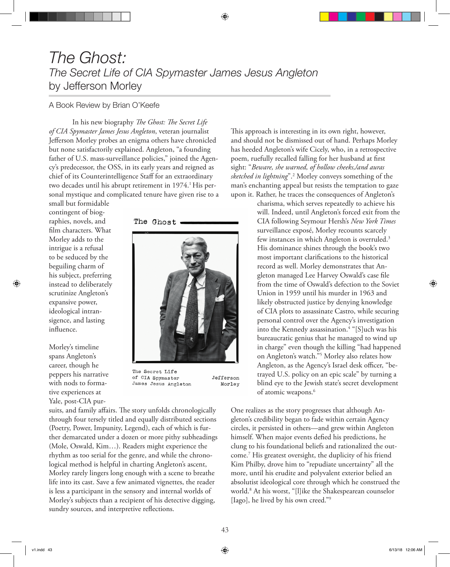## *The Ghost: The Secret Life of CIA Spymaster James Jesus Angleton* by Jefferson Morley

## A Book Review by Brian O'Keefe

In his new biography *The Ghost: The Secret Life of CIA Spymaster James Jesus Angleton*, veteran journalist Jefferson Morley probes an enigma others have chronicled but none satisfactorily explained. Angleton, "a founding father of U.S. mass-surveillance policies," joined the Agency's predecessor, the OSS, in its early years and reigned as chief of its Counterintelligence Staff for an extraordinary two decades until his abrupt retirement in 1974.<sup>1</sup> His personal mystique and complicated tenure have given rise to a

small but formidable contingent of biographies, novels, and film characters. What Morley adds to the intrigue is a refusal to be seduced by the beguiling charm of his subject, preferring instead to deliberately scrutinize Angleton's expansive power, ideological intransigence, and lasting influence.

Morley's timeline spans Angleton's career, though he peppers his narrative with nods to formative experiences at Yale, post-CIA pur-

## The Ghost



The Secret Life of CIA Spymaster James Jesus Angleton

Jefferson Morley

suits, and family affairs. The story unfolds chronologically through four tersely titled and equally distributed sections (Poetry, Power, Impunity, Legend), each of which is further demarcated under a dozen or more pithy subheadings (Mole, Oswald, Kim…). Readers might experience the rhythm as too serial for the genre, and while the chronological method is helpful in charting Angleton's ascent, Morley rarely lingers long enough with a scene to breathe life into its cast. Save a few animated vignettes, the reader is less a participant in the sensory and internal worlds of Morley's subjects than a recipient of his detective digging, sundry sources, and interpretive reflections.

This approach is interesting in its own right, however, and should not be dismissed out of hand. Perhaps Morley has heeded Angleton's wife Cicely, who, in a retrospective poem, ruefully recalled falling for her husband at first sight: "*Beware, she warned, of hollow cheeks,/and auras sketched in lightning*".2 Morley conveys something of the man's enchanting appeal but resists the temptation to gaze upon it. Rather, he traces the consequences of Angleton's

> charisma, which serves repeatedly to achieve his will. Indeed, until Angleton's forced exit from the CIA following Seymour Hersh's *New York Times* surveillance exposé, Morley recounts scarcely few instances in which Angleton is overruled.3 His dominance shines through the book's two most important clarifications to the historical record as well. Morley demonstrates that Angleton managed Lee Harvey Oswald's case file from the time of Oswald's defection to the Soviet Union in 1959 until his murder in 1963 and likely obstructed justice by denying knowledge of CIA plots to assassinate Castro, while securing personal control over the Agency's investigation into the Kennedy assassination.4 "[S]uch was his bureaucratic genius that he managed to wind up in charge" even though the killing "had happened on Angleton's watch."5 Morley also relates how Angleton, as the Agency's Israel desk officer, "betrayed U.S. policy on an epic scale" by turning a blind eye to the Jewish state's secret development of atomic weapons.<sup>6</sup>

One realizes as the story progresses that although Angleton's credibility began to fade within certain Agency circles, it persisted in others—and grew within Angleton himself. When major events defied his predictions, he clung to his foundational beliefs and rationalized the outcome.7 His greatest oversight, the duplicity of his friend Kim Philby, drove him to "repudiate uncertainty" all the more, until his erudite and polyvalent exterior belied an absolutist ideological core through which he construed the world.8 At his worst, "[l]ike the Shakespearean counselor [Iago], he lived by his own creed."<sup>9</sup>